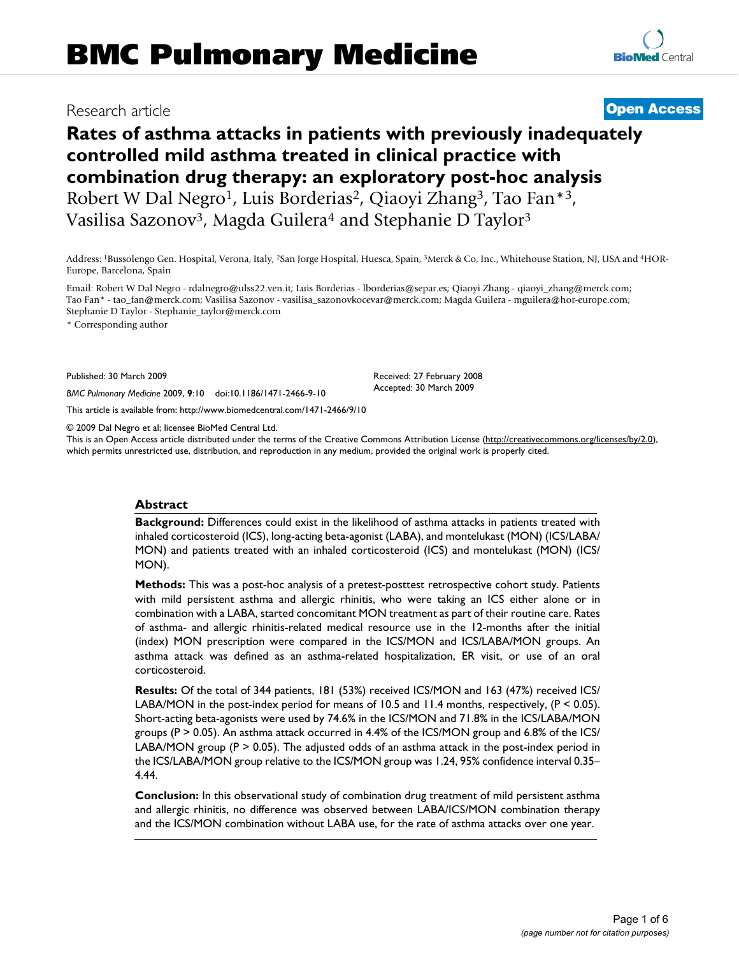# **Rates of asthma attacks in patients with previously inadequately controlled mild asthma treated in clinical practice with combination drug therapy: an exploratory post-hoc analysis** Robert W Dal Negro<sup>1</sup>, Luis Borderias<sup>2</sup>, Qiaoyi Zhang<sup>3</sup>, Tao Fan<sup>\*3</sup>, Vasilisa Sazonov<sup>3</sup>, Magda Guilera<sup>4</sup> and Stephanie D Taylor<sup>3</sup>

Address: 1Bussolengo Gen. Hospital, Verona, Italy, 2San Jorge Hospital, Huesca, Spain, 3Merck & Co, Inc., Whitehouse Station, NJ, USA and 4HOR-Europe, Barcelona, Spain

Email: Robert W Dal Negro - rdalnegro@ulss22.ven.it; Luis Borderias - lborderias@separ.es; Qiaoyi Zhang - qiaoyi\_zhang@merck.com; Tao Fan\* - tao\_fan@merck.com; Vasilisa Sazonov - vasilisa\_sazonovkocevar@merck.com; Magda Guilera - mguilera@hor-europe.com; Stephanie D Taylor - Stephanie\_taylor@merck.com

\* Corresponding author

Published: 30 March 2009

*BMC Pulmonary Medicine* 2009, **9**:10 doi:10.1186/1471-2466-9-10

[This article is available from: http://www.biomedcentral.com/1471-2466/9/10](http://www.biomedcentral.com/1471-2466/9/10)

© 2009 Dal Negro et al; licensee BioMed Central Ltd.

This is an Open Access article distributed under the terms of the Creative Commons Attribution License [\(http://creativecommons.org/licenses/by/2.0\)](http://creativecommons.org/licenses/by/2.0), which permits unrestricted use, distribution, and reproduction in any medium, provided the original work is properly cited.

#### **Abstract**

**Background:** Differences could exist in the likelihood of asthma attacks in patients treated with inhaled corticosteroid (ICS), long-acting beta-agonist (LABA), and montelukast (MON) (ICS/LABA/ MON) and patients treated with an inhaled corticosteroid (ICS) and montelukast (MON) (ICS/ MON).

**Methods:** This was a post-hoc analysis of a pretest-posttest retrospective cohort study. Patients with mild persistent asthma and allergic rhinitis, who were taking an ICS either alone or in combination with a LABA, started concomitant MON treatment as part of their routine care. Rates of asthma- and allergic rhinitis-related medical resource use in the 12-months after the initial (index) MON prescription were compared in the ICS/MON and ICS/LABA/MON groups. An asthma attack was defined as an asthma-related hospitalization, ER visit, or use of an oral corticosteroid.

**Results:** Of the total of 344 patients, 181 (53%) received ICS/MON and 163 (47%) received ICS/ LABA/MON in the post-index period for means of 10.5 and 11.4 months, respectively, (P < 0.05). Short-acting beta-agonists were used by 74.6% in the ICS/MON and 71.8% in the ICS/LABA/MON groups (P > 0.05). An asthma attack occurred in 4.4% of the ICS/MON group and 6.8% of the ICS/ LABA/MON group  $(P > 0.05)$ . The adjusted odds of an asthma attack in the post-index period in the ICS/LABA/MON group relative to the ICS/MON group was 1.24, 95% confidence interval 0.35– 4.44.

**Conclusion:** In this observational study of combination drug treatment of mild persistent asthma and allergic rhinitis, no difference was observed between LABA/ICS/MON combination therapy and the ICS/MON combination without LABA use, for the rate of asthma attacks over one year.

# Research article **[Open Access](http://www.biomedcentral.com/info/about/charter/)**

Received: 27 February 2008 Accepted: 30 March 2009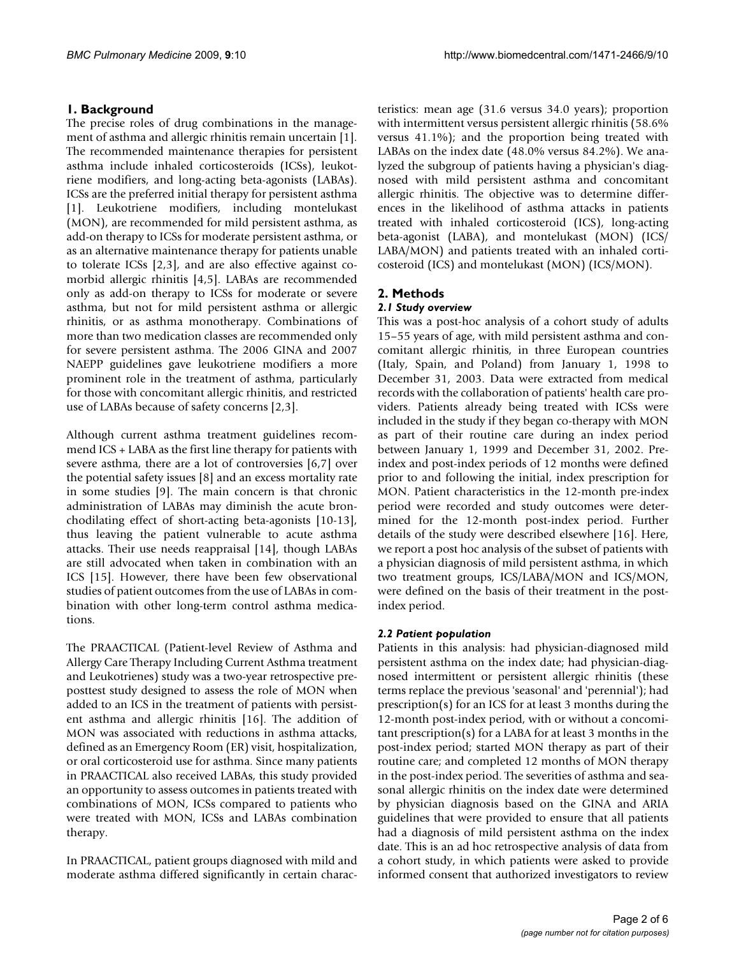# **1. Background**

The precise roles of drug combinations in the management of asthma and allergic rhinitis remain uncertain [1]. The recommended maintenance therapies for persistent asthma include inhaled corticosteroids (ICSs), leukotriene modifiers, and long-acting beta-agonists (LABAs). ICSs are the preferred initial therapy for persistent asthma [1]. Leukotriene modifiers, including montelukast (MON), are recommended for mild persistent asthma, as add-on therapy to ICSs for moderate persistent asthma, or as an alternative maintenance therapy for patients unable to tolerate ICSs [2,3], and are also effective against comorbid allergic rhinitis [4,5]. LABAs are recommended only as add-on therapy to ICSs for moderate or severe asthma, but not for mild persistent asthma or allergic rhinitis, or as asthma monotherapy. Combinations of more than two medication classes are recommended only for severe persistent asthma. The 2006 GINA and 2007 NAEPP guidelines gave leukotriene modifiers a more prominent role in the treatment of asthma, particularly for those with concomitant allergic rhinitis, and restricted use of LABAs because of safety concerns [2,3].

Although current asthma treatment guidelines recommend ICS + LABA as the first line therapy for patients with severe asthma, there are a lot of controversies [6,7] over the potential safety issues [8] and an excess mortality rate in some studies [9]. The main concern is that chronic administration of LABAs may diminish the acute bronchodilating effect of short-acting beta-agonists [10-13], thus leaving the patient vulnerable to acute asthma attacks. Their use needs reappraisal [14], though LABAs are still advocated when taken in combination with an ICS [15]. However, there have been few observational studies of patient outcomes from the use of LABAs in combination with other long-term control asthma medications.

The PRAACTICAL (Patient-level Review of Asthma and Allergy Care Therapy Including Current Asthma treatment and Leukotrienes) study was a two-year retrospective preposttest study designed to assess the role of MON when added to an ICS in the treatment of patients with persistent asthma and allergic rhinitis [16]. The addition of MON was associated with reductions in asthma attacks, defined as an Emergency Room (ER) visit, hospitalization, or oral corticosteroid use for asthma. Since many patients in PRAACTICAL also received LABAs, this study provided an opportunity to assess outcomes in patients treated with combinations of MON, ICSs compared to patients who were treated with MON, ICSs and LABAs combination therapy.

In PRAACTICAL, patient groups diagnosed with mild and moderate asthma differed significantly in certain characteristics: mean age (31.6 versus 34.0 years); proportion with intermittent versus persistent allergic rhinitis (58.6% versus 41.1%); and the proportion being treated with LABAs on the index date (48.0% versus 84.2%). We analyzed the subgroup of patients having a physician's diagnosed with mild persistent asthma and concomitant allergic rhinitis. The objective was to determine differences in the likelihood of asthma attacks in patients treated with inhaled corticosteroid (ICS), long-acting beta-agonist (LABA), and montelukast (MON) (ICS/ LABA/MON) and patients treated with an inhaled corticosteroid (ICS) and montelukast (MON) (ICS/MON).

# **2. Methods**

#### *2.1 Study overview*

This was a post-hoc analysis of a cohort study of adults 15–55 years of age, with mild persistent asthma and concomitant allergic rhinitis, in three European countries (Italy, Spain, and Poland) from January 1, 1998 to December 31, 2003. Data were extracted from medical records with the collaboration of patients' health care providers. Patients already being treated with ICSs were included in the study if they began co-therapy with MON as part of their routine care during an index period between January 1, 1999 and December 31, 2002. Preindex and post-index periods of 12 months were defined prior to and following the initial, index prescription for MON. Patient characteristics in the 12-month pre-index period were recorded and study outcomes were determined for the 12-month post-index period. Further details of the study were described elsewhere [16]. Here, we report a post hoc analysis of the subset of patients with a physician diagnosis of mild persistent asthma, in which two treatment groups, ICS/LABA/MON and ICS/MON, were defined on the basis of their treatment in the postindex period.

## *2.2 Patient population*

Patients in this analysis: had physician-diagnosed mild persistent asthma on the index date; had physician-diagnosed intermittent or persistent allergic rhinitis (these terms replace the previous 'seasonal' and 'perennial'); had prescription(s) for an ICS for at least 3 months during the 12-month post-index period, with or without a concomitant prescription(s) for a LABA for at least 3 months in the post-index period; started MON therapy as part of their routine care; and completed 12 months of MON therapy in the post-index period. The severities of asthma and seasonal allergic rhinitis on the index date were determined by physician diagnosis based on the GINA and ARIA guidelines that were provided to ensure that all patients had a diagnosis of mild persistent asthma on the index date. This is an ad hoc retrospective analysis of data from a cohort study, in which patients were asked to provide informed consent that authorized investigators to review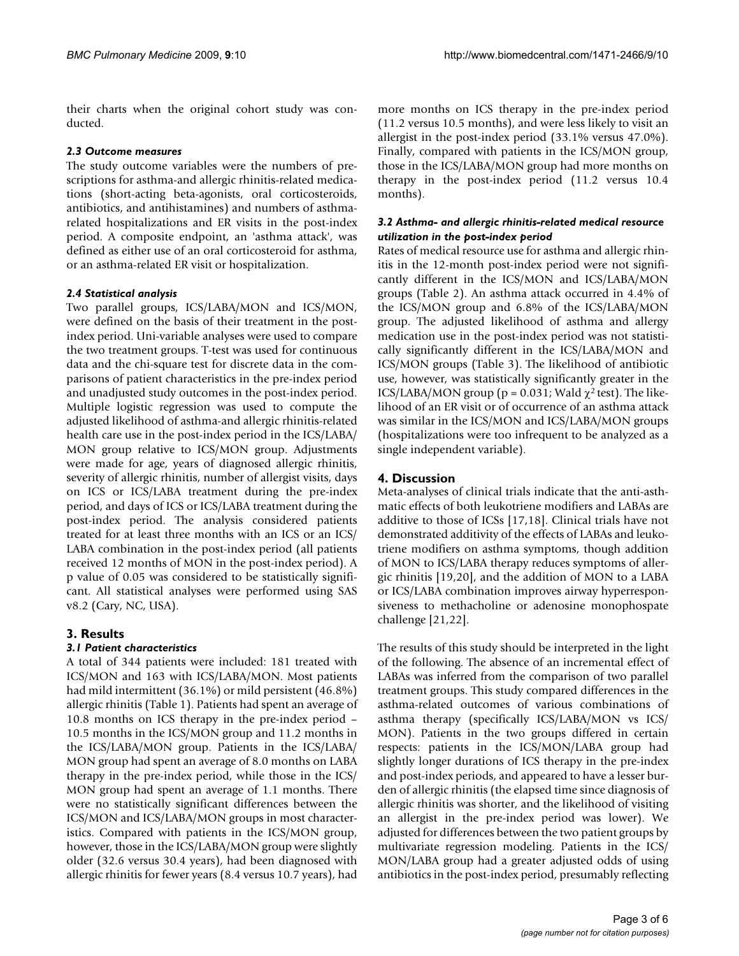their charts when the original cohort study was conducted.

#### *2.3 Outcome measures*

The study outcome variables were the numbers of prescriptions for asthma-and allergic rhinitis-related medications (short-acting beta-agonists, oral corticosteroids, antibiotics, and antihistamines) and numbers of asthmarelated hospitalizations and ER visits in the post-index period. A composite endpoint, an 'asthma attack', was defined as either use of an oral corticosteroid for asthma, or an asthma-related ER visit or hospitalization.

#### *2.4 Statistical analysis*

Two parallel groups, ICS/LABA/MON and ICS/MON, were defined on the basis of their treatment in the postindex period. Uni-variable analyses were used to compare the two treatment groups. T-test was used for continuous data and the chi-square test for discrete data in the comparisons of patient characteristics in the pre-index period and unadjusted study outcomes in the post-index period. Multiple logistic regression was used to compute the adjusted likelihood of asthma-and allergic rhinitis-related health care use in the post-index period in the ICS/LABA/ MON group relative to ICS/MON group. Adjustments were made for age, years of diagnosed allergic rhinitis, severity of allergic rhinitis, number of allergist visits, days on ICS or ICS/LABA treatment during the pre-index period, and days of ICS or ICS/LABA treatment during the post-index period. The analysis considered patients treated for at least three months with an ICS or an ICS/ LABA combination in the post-index period (all patients received 12 months of MON in the post-index period). A p value of 0.05 was considered to be statistically significant. All statistical analyses were performed using SAS v8.2 (Cary, NC, USA).

## **3. Results**

## *3.1 Patient characteristics*

A total of 344 patients were included: 181 treated with ICS/MON and 163 with ICS/LABA/MON. Most patients had mild intermittent (36.1%) or mild persistent (46.8%) allergic rhinitis (Table 1). Patients had spent an average of 10.8 months on ICS therapy in the pre-index period – 10.5 months in the ICS/MON group and 11.2 months in the ICS/LABA/MON group. Patients in the ICS/LABA/ MON group had spent an average of 8.0 months on LABA therapy in the pre-index period, while those in the ICS/ MON group had spent an average of 1.1 months. There were no statistically significant differences between the ICS/MON and ICS/LABA/MON groups in most characteristics. Compared with patients in the ICS/MON group, however, those in the ICS/LABA/MON group were slightly older (32.6 versus 30.4 years), had been diagnosed with allergic rhinitis for fewer years (8.4 versus 10.7 years), had

more months on ICS therapy in the pre-index period (11.2 versus 10.5 months), and were less likely to visit an allergist in the post-index period (33.1% versus 47.0%). Finally, compared with patients in the ICS/MON group, those in the ICS/LABA/MON group had more months on therapy in the post-index period (11.2 versus 10.4 months).

#### *3.2 Asthma- and allergic rhinitis-related medical resource utilization in the post-index period*

Rates of medical resource use for asthma and allergic rhinitis in the 12-month post-index period were not significantly different in the ICS/MON and ICS/LABA/MON groups (Table 2). An asthma attack occurred in 4.4% of the ICS/MON group and 6.8% of the ICS/LABA/MON group. The adjusted likelihood of asthma and allergy medication use in the post-index period was not statistically significantly different in the ICS/LABA/MON and ICS/MON groups (Table 3). The likelihood of antibiotic use, however, was statistically significantly greater in the ICS/LABA/MON group ( $p = 0.031$ ; Wald  $\chi^2$  test). The likelihood of an ER visit or of occurrence of an asthma attack was similar in the ICS/MON and ICS/LABA/MON groups (hospitalizations were too infrequent to be analyzed as a single independent variable).

## **4. Discussion**

Meta-analyses of clinical trials indicate that the anti-asthmatic effects of both leukotriene modifiers and LABAs are additive to those of ICSs [17,18]. Clinical trials have not demonstrated additivity of the effects of LABAs and leukotriene modifiers on asthma symptoms, though addition of MON to ICS/LABA therapy reduces symptoms of allergic rhinitis [19,20], and the addition of MON to a LABA or ICS/LABA combination improves airway hyperresponsiveness to methacholine or adenosine monophospate challenge [21,22].

The results of this study should be interpreted in the light of the following. The absence of an incremental effect of LABAs was inferred from the comparison of two parallel treatment groups. This study compared differences in the asthma-related outcomes of various combinations of asthma therapy (specifically ICS/LABA/MON vs ICS/ MON). Patients in the two groups differed in certain respects: patients in the ICS/MON/LABA group had slightly longer durations of ICS therapy in the pre-index and post-index periods, and appeared to have a lesser burden of allergic rhinitis (the elapsed time since diagnosis of allergic rhinitis was shorter, and the likelihood of visiting an allergist in the pre-index period was lower). We adjusted for differences between the two patient groups by multivariate regression modeling. Patients in the ICS/ MON/LABA group had a greater adjusted odds of using antibiotics in the post-index period, presumably reflecting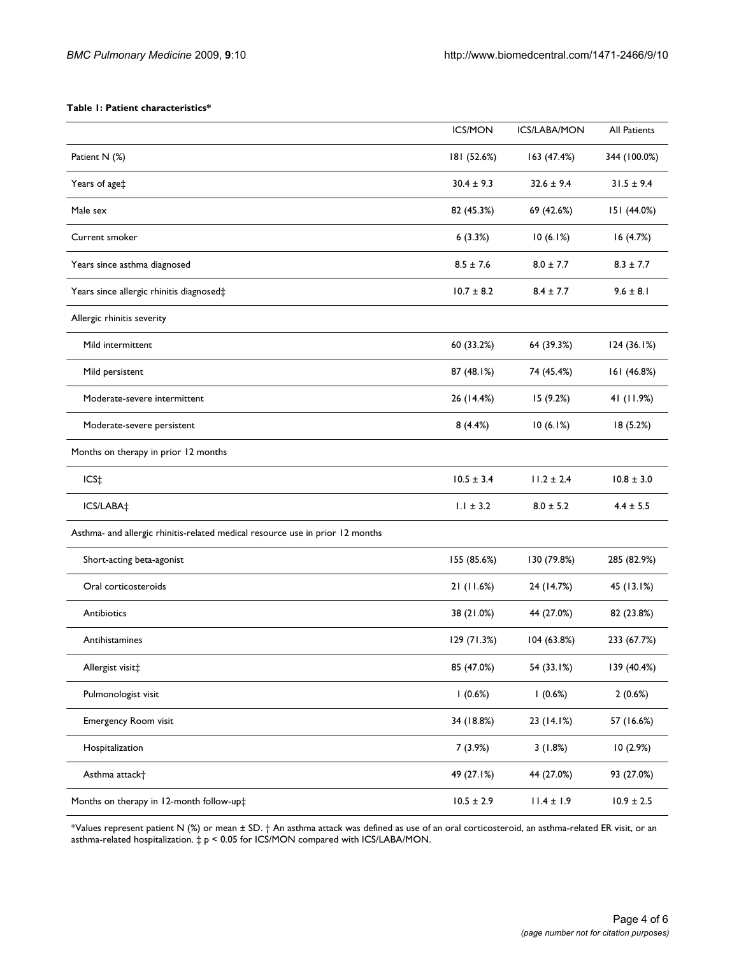#### **Table 1: Patient characteristics\***

|                                                                               | <b>ICS/MON</b> | <b>ICS/LABA/MON</b> | <b>All Patients</b> |
|-------------------------------------------------------------------------------|----------------|---------------------|---------------------|
| Patient N (%)                                                                 | 181 (52.6%)    | 163 (47.4%)         | 344 (100.0%)        |
| Years of age‡                                                                 | $30.4 \pm 9.3$ | $32.6 \pm 9.4$      | $31.5 \pm 9.4$      |
| Male sex                                                                      | 82 (45.3%)     | 69 (42.6%)          | 151 (44.0%)         |
| Current smoker                                                                | 6(3.3%)        | 10(6.1%)            | 16(4.7%)            |
| Years since asthma diagnosed                                                  | $8.5 \pm 7.6$  | $8.0 \pm 7.7$       | $8.3 \pm 7.7$       |
| Years since allergic rhinitis diagnosed‡                                      | $10.7 \pm 8.2$ | $8.4 \pm 7.7$       | $9.6 \pm 8.1$       |
| Allergic rhinitis severity                                                    |                |                     |                     |
| Mild intermittent                                                             | 60 (33.2%)     | 64 (39.3%)          | 124 (36.1%)         |
| Mild persistent                                                               | 87 (48.1%)     | 74 (45.4%)          | 161 (46.8%)         |
| Moderate-severe intermittent                                                  | 26 (14.4%)     | 15(9.2%)            | 41 (11.9%)          |
| Moderate-severe persistent                                                    | 8(4.4%)        | 10(6.1%)            | 18 (5.2%)           |
| Months on therapy in prior 12 months                                          |                |                     |                     |
| ICS‡                                                                          | $10.5 \pm 3.4$ | $11.2 \pm 2.4$      | $10.8 \pm 3.0$      |
| ICS/LABA‡                                                                     | $1.1 \pm 3.2$  | $8.0 \pm 5.2$       | $4.4 \pm 5.5$       |
| Asthma- and allergic rhinitis-related medical resource use in prior 12 months |                |                     |                     |
| Short-acting beta-agonist                                                     | 155 (85.6%)    | 130 (79.8%)         | 285 (82.9%)         |
| Oral corticosteroids                                                          | 21 (11.6%)     | 24 (14.7%)          | 45 (13.1%)          |
| Antibiotics                                                                   | 38 (21.0%)     | 44 (27.0%)          | 82 (23.8%)          |
| Antihistamines                                                                | 129 (71.3%)    | 104 (63.8%)         | 233 (67.7%)         |
| Allergist visit‡                                                              | 85 (47.0%)     | 54 (33.1%)          | 139 (40.4%)         |
| Pulmonologist visit                                                           | 1(0.6%)        | 1(0.6%)             | 2(0.6%)             |
| Emergency Room visit                                                          | 34 (18.8%)     | 23 (14.1%)          | 57 (16.6%)          |
| Hospitalization                                                               | 7(3.9%)        | 3(1.8%)             | 10(2.9%)            |
| Asthma attack+                                                                | 49 (27.1%)     | 44 (27.0%)          | 93 (27.0%)          |
| Months on therapy in 12-month follow-up#                                      | $10.5 \pm 2.9$ | $11.4 \pm 1.9$      | $10.9 \pm 2.5$      |

\*Values represent patient N (%) or mean ± SD. † An asthma attack was defined as use of an oral corticosteroid, an asthma-related ER visit, or an asthma-related hospitalization. ‡ p < 0.05 for ICS/MON compared with ICS/LABA/MON.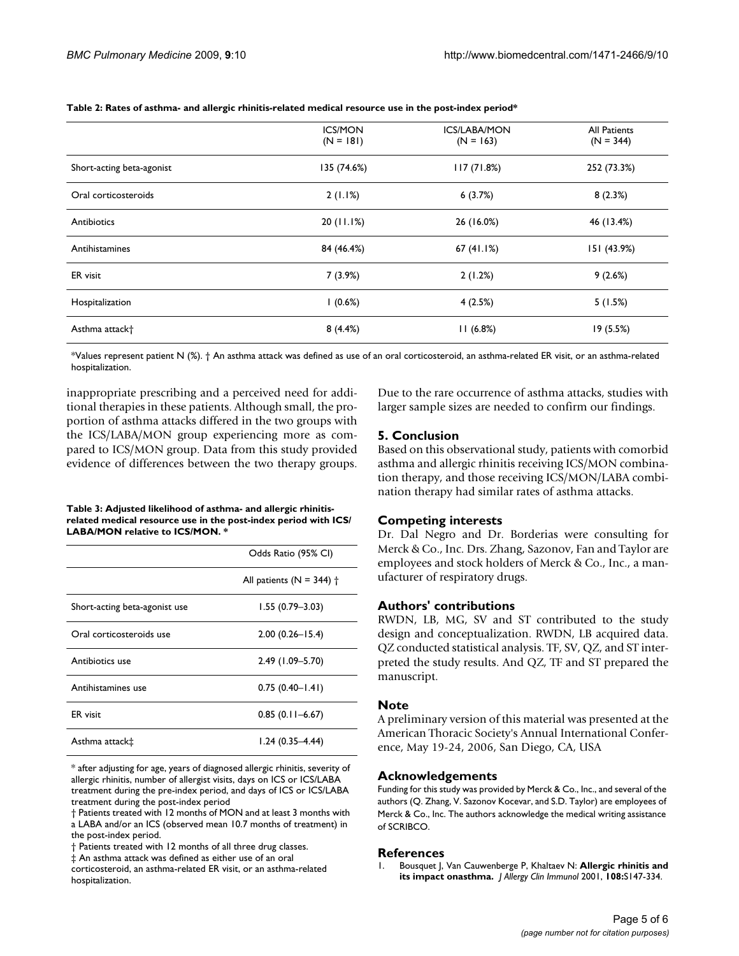|                            | <b>ICS/MON</b><br>$(N = 181)$ | <b>ICS/LABA/MON</b><br>$(N = 163)$ | All Patients<br>$(N = 344)$ |
|----------------------------|-------------------------------|------------------------------------|-----------------------------|
| Short-acting beta-agonist  | 135 (74.6%)                   | 117(71.8%)                         | 252 (73.3%)                 |
| Oral corticosteroids       | 2(1.1%)                       | 6(3.7%)                            | 8(2.3%)                     |
| Antibiotics                | 20(11.1%)                     | 26 (16.0%)                         | 46 (13.4%)                  |
| Antihistamines             | 84 (46.4%)                    | 67(41.1%)                          | 151 (43.9%)                 |
| ER visit                   | 7(3.9%)                       | 2(1.2%)                            | 9(2.6%)                     |
| Hospitalization            | 1(0.6%)                       | 4(2.5%)                            | 5(1.5%)                     |
| Asthma attack <sup>+</sup> | 8(4.4%)                       | 11(6.8%)                           | 19(5.5%)                    |

**Table 2: Rates of asthma- and allergic rhinitis-related medical resource use in the post-index period\***

\*Values represent patient N (%). † An asthma attack was defined as use of an oral corticosteroid, an asthma-related ER visit, or an asthma-related hospitalization.

inappropriate prescribing and a perceived need for additional therapies in these patients. Although small, the proportion of asthma attacks differed in the two groups with the ICS/LABA/MON group experiencing more as compared to ICS/MON group. Data from this study provided evidence of differences between the two therapy groups.

Due to the rare occurrence of asthma attacks, studies with larger sample sizes are needed to confirm our findings.

#### **5. Conclusion**

Based on this observational study, patients with comorbid asthma and allergic rhinitis receiving ICS/MON combination therapy, and those receiving ICS/MON/LABA combination therapy had similar rates of asthma attacks.

#### **Table 3: Adjusted likelihood of asthma- and allergic rhinitisrelated medical resource use in the post-index period with ICS/ LABA/MON relative to ICS/MON. \***

|                               | Odds Ratio (95% CI)                  |
|-------------------------------|--------------------------------------|
|                               | All patients ( $N = 344$ ) $\dagger$ |
| Short-acting beta-agonist use | $1.55(0.79 - 3.03)$                  |
| Oral corticosteroids use      | $2.00(0.26 - 15.4)$                  |
| Antibiotics use               | 2.49 (1.09-5.70)                     |
| Antihistamines use            | $0.75(0.40 - 1.41)$                  |
| <b>ER</b> visit               | $0.85(0.11 - 6.67)$                  |
| Asthma attack <sup>+</sup>    | $1.24(0.35 - 4.44)$                  |

\* after adjusting for age, years of diagnosed allergic rhinitis, severity of allergic rhinitis, number of allergist visits, days on ICS or ICS/LABA treatment during the pre-index period, and days of ICS or ICS/LABA treatment during the post-index period

† Patients treated with 12 months of MON and at least 3 months with a LABA and/or an ICS (observed mean 10.7 months of treatment) in the post-index period.

† Patients treated with 12 months of all three drug classes.

‡ An asthma attack was defined as either use of an oral

corticosteroid, an asthma-related ER visit, or an asthma-related hospitalization.

#### **Competing interests**

Dr. Dal Negro and Dr. Borderias were consulting for Merck & Co., Inc. Drs. Zhang, Sazonov, Fan and Taylor are employees and stock holders of Merck & Co., Inc., a manufacturer of respiratory drugs.

#### **Authors' contributions**

RWDN, LB, MG, SV and ST contributed to the study design and conceptualization. RWDN, LB acquired data. QZ conducted statistical analysis. TF, SV, QZ, and ST interpreted the study results. And QZ, TF and ST prepared the manuscript.

#### **Note**

A preliminary version of this material was presented at the American Thoracic Society's Annual International Conference, May 19-24, 2006, San Diego, CA, USA

#### **Acknowledgements**

Funding for this study was provided by Merck & Co., Inc., and several of the authors (Q. Zhang, V. Sazonov Kocevar, and S.D. Taylor) are employees of Merck & Co., Inc. The authors acknowledge the medical writing assistance of SCRIBCO.

#### **References**

1. Bousquet J, Van Cauwenberge P, Khaltaev N: **[Allergic rhinitis and](http://www.ncbi.nlm.nih.gov/entrez/query.fcgi?cmd=Retrieve&db=PubMed&dopt=Abstract&list_uids=11707753) [its impact onasthma.](http://www.ncbi.nlm.nih.gov/entrez/query.fcgi?cmd=Retrieve&db=PubMed&dopt=Abstract&list_uids=11707753)** *J Allergy Clin Immunol* 2001, **108:**S147-334.